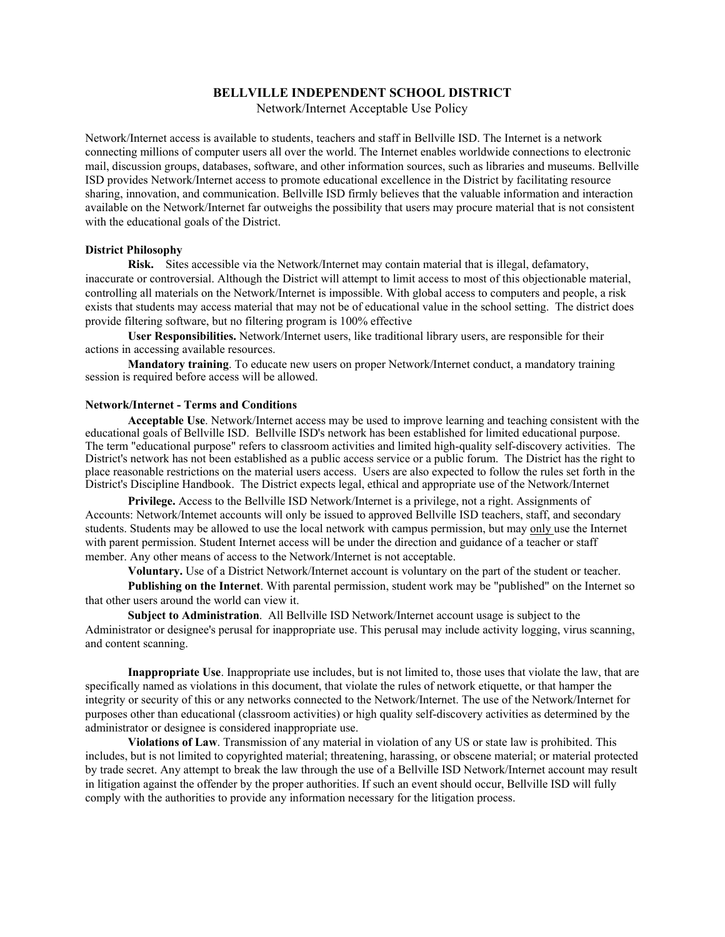# **BELLVILLE INDEPENDENT SCHOOL DISTRICT**

Network/Internet Acceptable Use Policy

Network/Internet access is available to students, teachers and staff in Bellville ISD. The Internet is a network connecting millions of computer users all over the world. The Internet enables worldwide connections to electronic mail, discussion groups, databases, software, and other information sources, such as libraries and museums. Bellville ISD provides Network/Internet access to promote educational excellence in the District by facilitating resource sharing, innovation, and communication. Bellville ISD firmly believes that the valuable information and interaction available on the Network/Internet far outweighs the possibility that users may procure material that is not consistent with the educational goals of the District.

### **District Philosophy**

**Risk.** Sites accessible via the Network/Internet may contain material that is illegal, defamatory, inaccurate or controversial. Although the District will attempt to limit access to most of this objectionable material, controlling all materials on the Network/Internet is impossible. With global access to computers and people, a risk exists that students may access material that may not be of educational value in the school setting. The district does provide filtering software, but no filtering program is 100% effective

**User Responsibilities.** Network/Internet users, like traditional library users, are responsible for their actions in accessing available resources.

**Mandatory training**. To educate new users on proper Network/Internet conduct, a mandatory training session is required before access will be allowed.

#### **Network/Internet - Terms and Conditions**

**Acceptable Use**. Network/Internet access may be used to improve learning and teaching consistent with the educational goals of Bellville ISD. Bellville ISD's network has been established for limited educational purpose. The term "educational purpose" refers to classroom activities and limited high-quality self-discovery activities. The District's network has not been established as a public access service or a public forum. The District has the right to place reasonable restrictions on the material users access. Users are also expected to follow the rules set forth in the District's Discipline Handbook. The District expects legal, ethical and appropriate use of the Network/Internet

**Privilege.** Access to the Bellville ISD Network/Internet is a privilege, not a right. Assignments of Accounts: Network/Intemet accounts will only be issued to approved Bellville ISD teachers, staff, and secondary students. Students may be allowed to use the local network with campus permission, but may only use the Internet with parent permission. Student Internet access will be under the direction and guidance of a teacher or staff member. Any other means of access to the Network/Internet is not acceptable.

**Voluntary.** Use of a District Network/Internet account is voluntary on the part of the student or teacher.

**Publishing on the Internet**. With parental permission, student work may be "published" on the Internet so that other users around the world can view it.

**Subject to Administration**. All Bellville ISD Network/Internet account usage is subject to the Administrator or designee's perusal for inappropriate use. This perusal may include activity logging, virus scanning, and content scanning.

**Inappropriate Use**. Inappropriate use includes, but is not limited to, those uses that violate the law, that are specifically named as violations in this document, that violate the rules of network etiquette, or that hamper the integrity or security of this or any networks connected to the Network/Internet. The use of the Network/Internet for purposes other than educational (classroom activities) or high quality self-discovery activities as determined by the administrator or designee is considered inappropriate use.

**Violations of Law**. Transmission of any material in violation of any US or state law is prohibited. This includes, but is not limited to copyrighted material; threatening, harassing, or obscene material; or material protected by trade secret. Any attempt to break the law through the use of a Bellville ISD Network/Internet account may result in litigation against the offender by the proper authorities. If such an event should occur, Bellville ISD will fully comply with the authorities to provide any information necessary for the litigation process.